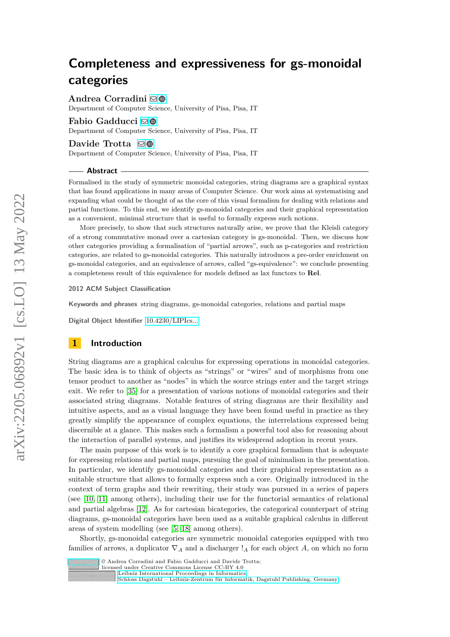# **Completeness and expressiveness for gs-monoidal categories**

**Andrea Corradini** [!](mailto:andrea.corradini@unipi.it)

Department of Computer Science, University of Pisa, Pisa, IT

## **Fabio Gadducci**  $\text{□}$  **©**

Department of Computer Science, University of Pisa, Pisa, IT

### **Davide Trotta** ⊠**©**

Department of Computer Science, University of Pisa, Pisa, IT

### **Abstract**

Formalised in the study of symmetric monoidal categories, string diagrams are a graphical syntax that has found applications in many areas of Computer Science. Our work aims at systematising and expanding what could be thought of as the core of this visual formalism for dealing with relations and partial functions. To this end, we identify gs-monoidal categories and their graphical representation as a convenient, minimal structure that is useful to formally express such notions.

More precisely, to show that such structures naturally arise, we prove that the Kleisli category of a strong commutative monad over a cartesian category is gs-monoidal. Then, we discuss how other categories providing a formalisation of "partial arrows", such as p-categories and restriction categories, are related to gs-monoidal categories. This naturally introduces a pre-order enrichment on gs-monoidal categories, and an equivalence of arrows, called "gs-equivalence": we conclude presenting a completeness result of this equivalence for models defined as lax functors to **Rel**.

### **2012 ACM Subject Classification**

**Keywords and phrases** string diagrams, gs-monoidal categories, relations and partial maps

**Digital Object Identifier** [10.4230/LIPIcs...](https://doi.org/10.4230/LIPIcs...)

## **1 Introduction**

String diagrams are a graphical calculus for expressing operations in monoidal categories. The basic idea is to think of objects as "strings" or "wires" and of morphisms from one tensor product to another as "nodes" in which the source strings enter and the target strings exit. We refer to [\[35\]](#page-13-0) for a presentation of various notions of monoidal categories and their associated string diagrams. Notable features of string diagrams are their flexibility and intuitive aspects, and as a visual language they have been found useful in practice as they greatly simplify the appearance of complex equations, the interrelations expressed being discernible at a glance. This makes such a formalism a powerful tool also for reasoning about the interaction of parallel systems, and justifies its widespread adoption in recent years.

The main purpose of this work is to identify a core graphical formalism that is adequate for expressing relations and partial maps, pursuing the goal of minimalism in the presentation. In particular, we identify gs-monoidal categories and their graphical representation as a suitable structure that allows to formally express such a core. Originally introduced in the context of term graphs and their rewriting, their study was pursued in a series of papers (see [\[10,](#page-12-0) [11\]](#page-12-1) among others), including their use for the functorial semantics of relational and partial algebras [\[12\]](#page-12-2). As for cartesian bicategories, the categorical counterpart of string diagrams, gs-monoidal categories have been used as a suitable graphical calculus in different areas of system modelling (see [\[5,](#page-11-0) [18\]](#page-12-3) among others).

Shortly, gs-monoidal categories are symmetric monoidal categories equipped with two families of arrows, a duplicator  $\nabla_A$  and a discharger  $\mathcal{I}_A$  for each object A, on which no form



licensed under Creative Commons License CC-BY 4.0

[Schloss Dagstuhl – Leibniz-Zentrum für Informatik, Dagstuhl Publishing, Germany](https://www.dagstuhl.de)

[Leibniz International Proceedings in Informatics](https://www.dagstuhl.de/lipics/)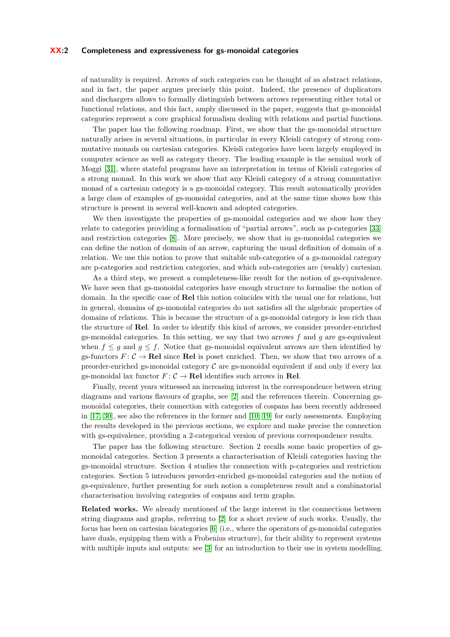### **XX:2 Completeness and expressiveness for gs-monoidal categories**

of naturality is required. Arrows of such categories can be thought of as abstract relations, and in fact, the paper argues precisely this point. Indeed, the presence of duplicators and dischargers allows to formally distinguish between arrows representing either total or functional relations, and this fact, amply discussed in the paper, suggests that gs-monoidal categories represent a core graphical formalism dealing with relations and partial functions.

The paper has the following roadmap. First, we show that the gs-monoidal structure naturally arises in several situations, in particular in every Kleisli category of strong commutative monads on cartesian categories. Kleisli categories have been largely employed in computer science as well as category theory. The leading example is the seminal work of Moggi [\[31\]](#page-12-4), where stateful programs have an interpretation in terms of Kleisli categories of a strong monad. In this work we show that any Kleisli category of a strong commutative monad of a cartesian category is a gs-monoidal category. This result automatically provides a large class of examples of gs-monoidal categories, and at the same time shows how this structure is present in several well-known and adopted categories.

We then investigate the properties of gs-monoidal categories and we show how they relate to categories providing a formalisation of "partial arrows", such as p-categories [\[33\]](#page-13-1) and restriction categories [\[8\]](#page-11-1). More precisely, we show that in gs-monoidal categories we can define the notion of domain of an arrow, capturing the usual definition of domain of a relation. We use this notion to prove that suitable sub-categories of a gs-monoidal category are p-categories and restriction categories, and which sub-categories are (weakly) cartesian.

As a third step, we present a completeness-like result for the notion of gs-equivalence. We have seen that gs-monoidal categories have enough structure to formalise the notion of domain. In the specific case of **Rel** this notion coincides with the usual one for relations, but in general, domains of gs-monoidal categories do not satisfies all the algebraic properties of domains of relations. This is because the structure of a gs-monoidal category is less rich than the structure of **Rel**. In order to identify this kind of arrows, we consider preorder-enriched gs-monoidal categories. In this setting, we say that two arrows *f* and *g* are gs-equivalent when  $f \leq g$  and  $g \leq f$ . Notice that gs-monoidal equivalent arrows are then identified by gs-functors  $F: \mathcal{C} \to \mathbf{Rel}$  since **Rel** is poset enriched. Then, we show that two arrows of a preorder-enriched gs-monoidal category  $C$  are gs-monoidal equivalent if and only if every lax gs-monoidal lax functor  $F: \mathcal{C} \to \mathbf{Rel}$  identifies such arrows in **Rel**.

Finally, recent years witnessed an increasing interest in the correspondence between string diagrams and various flavours of graphs, see [\[2\]](#page-11-2) and the references therein. Concerning gsmonoidal categories, their connection with categories of cospans has been recently addressed in [\[17,](#page-12-5) [30\]](#page-12-6), see also the references in the former and [\[10,](#page-12-0) [19\]](#page-12-7) for early assessments. Employing the results developed in the previous sections, we explore and make precise the connection with gs-equivalence, providing a 2-categorical version of previous correspondence results.

The paper has the following structure. Section 2 recalls some basic properties of gsmonoidal categories. Section 3 presents a characterisation of Kleisli categories having the gs-monoidal structure. Section 4 studies the connection with p-categories and restriction categories. Section 5 introduces preorder-enriched gs-monoidal categories and the notion of gs-equivalence, further presenting for such notion a completeness result and a combinatorial characterisation involving categories of cospans and term graphs.

**Related works.** We already mentioned of the large interest in the connections between string diagrams and graphs, referring to [\[2\]](#page-11-2) for a short review of such works. Usually, the focus has been on cartesian bicategories [\[6\]](#page-11-3) (i.e., where the operators of gs-monoidal categories have duals, equipping them with a Frobenius structure), for their ability to represent systems with multiple inputs and outputs: see [\[3\]](#page-11-4) for an introduction to their use in system modelling.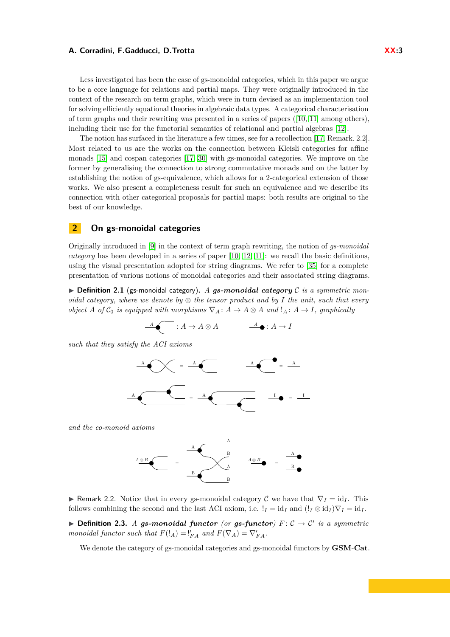Less investigated has been the case of gs-monoidal categories, which in this paper we argue to be a core language for relations and partial maps. They were originally introduced in the context of the research on term graphs, which were in turn devised as an implementation tool for solving efficiently equational theories in algebraic data types. A categorical characterisation of term graphs and their rewriting was presented in a series of papers ([\[10,](#page-12-0) [11\]](#page-12-1) among others), including their use for the functorial semantics of relational and partial algebras [\[12\]](#page-12-2).

The notion has surfaced in the literature a few times, see for a recollection [\[17,](#page-12-5) Remark. 2.2]. Most related to us are the works on the connection between Kleisli categories for affine monads [\[15\]](#page-12-8) and cospan categories [\[17,](#page-12-5) [30\]](#page-12-6) with gs-monoidal categories. We improve on the former by generalising the connection to strong commutative monads and on the latter by establishing the notion of gs-equivalence, which allows for a 2-categorical extension of those works. We also present a completeness result for such an equivalence and we describe its connection with other categorical proposals for partial maps: both results are original to the best of our knowledge.

## **2 On gs-monoidal categories**

Originally introduced in [\[9\]](#page-12-9) in the context of term graph rewriting, the notion of *gs-monoidal category* has been developed in a series of paper [\[10,](#page-12-0) [12,](#page-12-2) [11\]](#page-12-1): we recall the basic definitions, using the visual presentation adopted for string diagrams. We refer to [\[35\]](#page-13-0) for a complete presentation of various notions of monoidal categories and their associated string diagrams.

<span id="page-2-1"></span> $\triangleright$  **Definition 2.1** (gs-monoidal category). A gs-monoidal category C is a symmetric mon*oidal category, where we denote by* ⊗ *the tensor product and by I the unit, such that every object A of*  $C_0$  *is equipped with morphisms*  $\nabla_A : A \to A \otimes A$  *and*  $!_A : A \to I$ *, graphically* 

$$
\overbrace{\qquad \qquad }^{\mathcal{A}}\bullet \overbrace{\qquad \qquad }^{\mathcal{A}}:A\rightarrow A\otimes A \qquad \qquad \overbrace{\qquad \qquad }^{\mathcal{A}}\bullet :A\rightarrow I
$$

*such that they satisfy the ACI axioms*



*and the co-monoid axioms*



**▶ Remark** 2.2. Notice that in every gs-monoidal category  $\mathcal{C}$  we have that  $\nabla$ *I* = id<sub>*I*</sub>. This follows combining the second and the last ACI axiom, i.e.  $!_I = id_I$  and  $(l_I \otimes id_I)\nabla_I = id_I$ .

<span id="page-2-2"></span>▶ **Definition 2.3.** *A gs-monoidal functor (or gs-functor)*  $F: C \rightarrow C'$  *is a symmetric monoidal functor such that*  $F(!_A) = \frac{V}{FA}$  *and*  $F(\nabla_A) = \nabla'_{FA}$ *.* 

<span id="page-2-0"></span>We denote the category of gs-monoidal categories and gs-monoidal functors by **GSM**-**Cat**.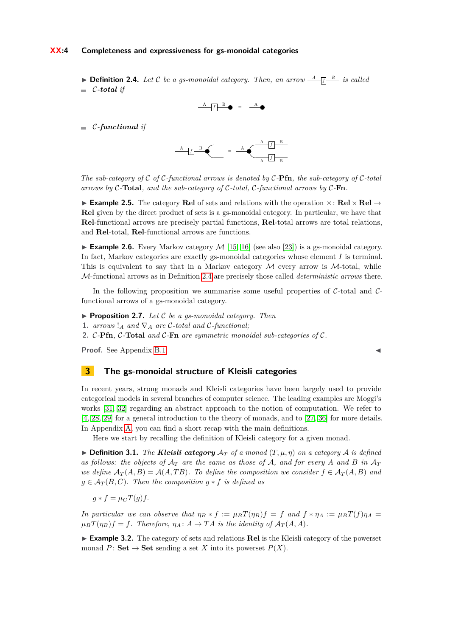### **XX:4 Completeness and expressiveness for gs-monoidal categories**

**• Definition 2.4.** Let C be a gs-monoidal category. Then, an arrow  $\frac{A}{\sqrt{B}}$  is called  $\blacksquare$  *C*-*total if* 



C*-functional if*



*The sub-category of* C *of* C*-functional arrows is denoted by* C*-***Pfn***, the sub-category of* C*-total arrows by* C*-***Total***, and the sub-category of* C*-total,* C*-functional arrows by* C*-***Fn***.*

▶ **Example 2.5.** The category **Rel** of sets and relations with the operation ×: **Rel** × **Rel** → **Rel** given by the direct product of sets is a gs-monoidal category. In particular, we have that **Rel**-functional arrows are precisely partial functions, **Rel**-total arrows are total relations, and **Rel**-total, **Rel**-functional arrows are functions.

**Example 2.6.** Every Markov category  $M$  [\[15,](#page-12-8) [16\]](#page-12-10) (see also [\[23\]](#page-12-11)) is a gs-monoidal category. In fact, Markov categories are exactly gs-monoidal categories whose element *I* is terminal. This is equivalent to say that in a Markov category  $\mathcal M$  every arrow is  $\mathcal M$ -total, while M-functional arrows as in Definition [2.4](#page-2-0) are precisely those called *deterministic arrows* there.

In the following proposition we summarise some useful properties of  $C$ -total and  $C$ functional arrows of a gs-monoidal category.

- <span id="page-3-1"></span>▶ **Proposition 2.7.** *Let* C *be a gs-monoidal category. Then*
- **1.** *arrows*  $!_A$  *and*  $\nabla_A$  *are* C-total *and* C-functional;

**2.** C*-***Pfn***,* C*-***Total** *and* C*-***Fn** *are symmetric monoidal sub-categories of* C*.*

**Proof.** See Appendix [B.1.](#page-14-0)

## **3 The gs-monoidal structure of Kleisli categories**

In recent years, strong monads and Kleisli categories have been largely used to provide categorical models in several branches of computer science. The leading examples are Moggi's works [\[31,](#page-12-4) [32\]](#page-12-12) regarding an abstract approach to the notion of computation. We refer to [\[4,](#page-11-5) [28,](#page-12-13) [29\]](#page-12-14) for a general introduction to the theory of monads, and to [\[27,](#page-12-15) [36\]](#page-13-2) for more details. In Appendix [A,](#page-13-3) you can find a short recap with the main definitions.

Here we start by recalling the definition of Kleisli category for a given monad.

 $\triangleright$  **Definition 3.1.** *The Kleisli category*  $\mathcal{A}_T$  *of a monad*  $(T, \mu, \eta)$  *on a category*  $\mathcal{A}$  *is defined* as follows: the objects of  $A_T$  are the same as those of A, and for every A and B in  $A_T$ *we define*  $A_T(A, B) = A(A, TB)$ *. To define the composition we consider*  $f \in A_T(A, B)$  *and*  $g \in \mathcal{A}_T(B, C)$ . Then the composition  $g * f$  is defined as

$$
g * f = \mu_C T(g) f.
$$

In particular we can observe that  $\eta_B * f := \mu_B T(\eta_B) f = f$  and  $f * \eta_A := \mu_B T(f) \eta_A =$  $\mu_B T(\eta_B) f = f$ . Therefore,  $\eta_A : A \to TA$  is the identity of  $A_T(A, A)$ .

<span id="page-3-0"></span>▶ **Example 3.2.** The category of sets and relations **Rel** is the Kleisli category of the powerset monad  $P:$  **Set**  $\rightarrow$  **Set** sending a set *X* into its powerset  $P(X)$ .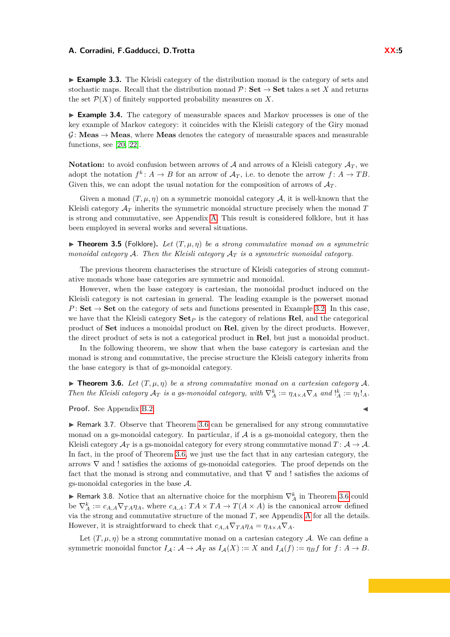▶ **Example 3.3.** The Kleisli category of the distribution monad is the category of sets and stochastic maps. Recall that the distribution monad  $\mathcal{P}$ : **Set**  $\rightarrow$  **Set** takes a set *X* and returns the set  $\mathcal{P}(X)$  of finitely supported probability measures on X.

<span id="page-4-2"></span>▶ **Example 3.4.** The category of measurable spaces and Markov processes is one of the key example of Markov category: it coincides with the Kleisli category of the Giry monad  $\mathcal{G}:$  **Meas**  $\rightarrow$  **Meas**, where **Meas** denotes the category of measurable spaces and measurable functions, see [\[20,](#page-12-16) [22\]](#page-12-17).

**Notation:** to avoid confusion between arrows of  $A$  and arrows of a Kleisli category  $A_T$ , we adopt the notation  $f^k$ :  $A \to B$  for an arrow of  $A_T$ , i.e. to denote the arrow  $f: A \to TB$ . Given this, we can adopt the usual notation for the composition of arrows of  $A_T$ .

Given a monad  $(T, \mu, \eta)$  on a symmetric monoidal category A, it is well-known that the Kleisli category A*<sup>T</sup>* inherits the symmetric monoidal structure precisely when the monad *T* is strong and commutative, see Appendix [A.](#page-13-3) This result is considered folklore, but it has been employed in several works and several situations.

<span id="page-4-3"></span>**• Theorem 3.5** (Folklore). Let  $(T, \mu, \eta)$  be a strong commutative monad on a symmetric *monoidal category* A*. Then the Kleisli category* A*<sup>T</sup> is a symmetric monoidal category.*

The previous theorem characterises the structure of Kleisli categories of strong commutative monads whose base categories are symmetric and monoidal.

However, when the base category is cartesian, the monoidal product induced on the Kleisli category is not cartesian in general. The leading example is the powerset monad *P* : **Set**  $\rightarrow$  **Set** on the category of sets and functions presented in Example [3.2.](#page-3-0) In this case, we have that the Kleisli category  $\mathbf{Set}_P$  is the category of relations **Rel**, and the categorical product of **Set** induces a monoidal product on **Rel**, given by the direct products. However, the direct product of sets is not a categorical product in **Rel**, but just a monoidal product.

In the following theorem, we show that when the base category is cartesian and the monad is strong and commutative, the precise structure the Kleisli category inherits from the base category is that of gs-monoidal category.

<span id="page-4-0"></span>**Findmen 3.6.** Let  $(T, \mu, \eta)$  be a strong commutative monad on a cartesian category A. *Then the Kleisli category*  $\mathcal{A}_T$  *is a gs-monoidal category, with*  $\nabla_A^k := \eta_{A \times A} \nabla_A$  *and*  $\mathcal{A}_A^k := \eta_1!_A$ .

**Proof.** See Appendix [B.2.](#page-14-1)

 $\triangleright$  Remark 3.7. Observe that Theorem [3.6](#page-4-0) can be generalised for any strong commutative monad on a gs-monoidal category. In particular, if  $A$  is a gs-monoidal category, then the Kleisli category  $\mathcal{A}_T$  is a gs-monoidal category for every strong commutative monad  $T: \mathcal{A} \to \mathcal{A}$ . In fact, in the proof of Theorem [3.6,](#page-4-0) we just use the fact that in any cartesian category, the arrows ∇ and ! satisfies the axioms of gs-monoidal categories. The proof depends on the fact that the monad is strong and commutative, and that  $\nabla$  and ! satisfies the axioms of gs-monoidal categories in the base A.

▶ Remark 3.8. Notice that an alternative choice for the morphism  $\nabla_A^k$  in Theorem [3.6](#page-4-0) could be  $\nabla_A^k := c_{A,A} \nabla_{T_A} \eta_A$ , where  $c_{A,A} : T A \times T A \to T (A \times A)$  is the canonical arrow defined via the strong and commutative structure of the monad *T*, see Appendix [A](#page-13-3) for all the details. However, it is straightforward to check that  $c_{A,A}\nabla_{T\hat{A}}\eta_A = \eta_{A\times A}\nabla_A$ .

<span id="page-4-1"></span>Let  $(T, \mu, \eta)$  be a strong commutative monad on a cartesian category A. We can define a symmetric monoidal functor  $I_A: A \to A_T$  as  $I_A(X) := X$  and  $I_A(f) := \eta_B f$  for  $f: A \to B$ .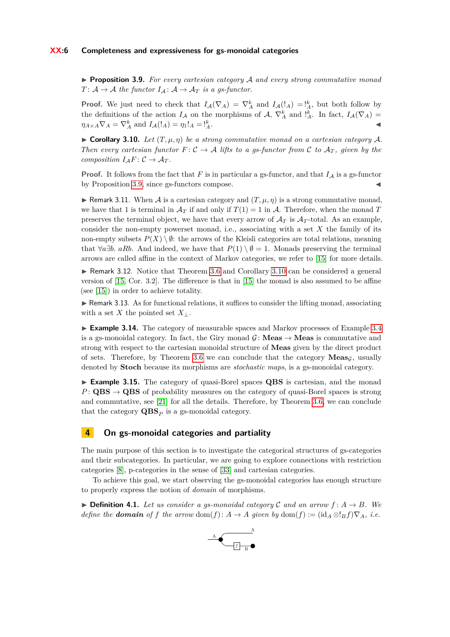▶ **Proposition 3.9.** *For every cartesian category* A *and every strong commutative monad*  $T: \mathcal{A} \to \mathcal{A}$  *the functor*  $I_{\mathcal{A}}: \mathcal{A} \to \mathcal{A}_{T}$  *is a gs-functor.* 

**Proof.** We just need to check that  $I_A(\nabla_A) = \nabla_A^k$  and  $I_A(l_A) = \frac{k}{A}$ , but both follow by the definitions of the action  $I_A$  on the morphisms of  $A$ ,  $\nabla_A^k$  and  $\frac{1}{A}$ . In fact,  $I_A(\nabla_A)$  =  $\eta_{A \times A} \nabla_A = \nabla_A^k$  and  $I_A(!_A) = \eta_1!_A = !_A^k$  $A$ .

<span id="page-5-0"></span> $\triangleright$  **Corollary 3.10.** Let  $(T, \mu, \eta)$  be a strong commutative monad on a cartesian category A. *Then every cartesian functor*  $F: \mathcal{C} \to \mathcal{A}$  *lifts to a gs-functor from*  $\mathcal{C}$  *to*  $\mathcal{A}_T$ *, given by the composition*  $I_A F: \mathcal{C} \to \mathcal{A}_T$ *.* 

**Proof.** It follows from the fact that  $F$  is in particular a gs-functor, and that  $I_A$  is a gs-functor by Proposition  $3.9$ , since gs-functors compose.

**• Remark 3.11.** When A is a cartesian category and  $(T, \mu, \eta)$  is a strong commutative monad, we have that 1 is terminal in  $\mathcal{A}_T$  if and only if  $T(1) = 1$  in  $\mathcal{A}$ . Therefore, when the monad T preserves the terminal object, we have that every arrow of  $\mathcal{A}_T$  is  $\mathcal{A}_T$ -total. As an example, consider the non-empty powerset monad, i.e., associating with a set *X* the family of its non-empty subsets  $P(X) \setminus \emptyset$ : the arrows of the Kleisli categories are total relations, meaning that  $\forall a \exists b$ . *aRb*. And indeed, we have that  $P(1) \setminus \emptyset = 1$ . Monads preserving the terminal arrows are called affine in the context of Markov categories, we refer to [\[15\]](#page-12-8) for more details.

▶ Remark 3.12. Notice that Theorem [3.6](#page-4-0) and Corollary [3.10](#page-5-0) can be considered a general version of [\[15,](#page-12-8) Cor. 3.2]. The difference is that in [\[15\]](#page-12-8) the monad is also assumed to be affine (see [\[15\]](#page-12-8)) in order to achieve totality.

 $\triangleright$  Remark 3.13. As for functional relations, it suffices to consider the lifting monad, associating with a set *X* the pointed set  $X_{\perp}$ .

▶ **Example 3.14.** The category of measurable spaces and Markov processes of Example [3.4](#page-4-2) is a gs-monoidal category. In fact, the Giry monad  $\mathcal{G}$ : **Meas**  $\rightarrow$  **Meas** is commutative and strong with respect to the cartesian monoidal structure of **Meas** given by the direct product of sets. Therefore, by Theorem [3.6](#page-4-0) we can conclude that the category  $\mathbf{Meas}_G$ , usually denoted by **Stoch** because its morphisms are *stochastic maps*, is a gs-monoidal category.

▶ **Example 3.15.** The category of quasi-Borel spaces **QBS** is cartesian, and the monad  $P: \textbf{QBS} \rightarrow \textbf{QBS}$  of probability measures on the category of quasi-Borel spaces is strong and commutative, see [\[21\]](#page-12-18) for all the details. Therefore, by Theorem [3.6,](#page-4-0) we can conclude that the category  $QBS<sub>P</sub>$  is a gs-monoidal category.

### **4 On gs-monoidal categories and partiality**

The main purpose of this section is to investigate the categorical structures of gs-categories and their subcategories. In particular, we are going to explore connections with restriction categories [\[8\]](#page-11-1), p-categories in the sense of [\[33\]](#page-13-1) and cartesian categories.

To achieve this goal, we start observing the gs-monoidal categories has enough structure to properly express the notion of *domain* of morphisms.

▶ **Definition 4.1.** Let us consider a gs-monoidal category  $\mathcal{C}$  and an arrow  $f: A \rightarrow B$ *. We define the domain of f the arrow* dom(*f*):  $A \rightarrow A$  *given* by dom(*f*) := (id<sub>*A*</sub> ⊗!*Bf*) $\nabla_A$ *, i.e.* 

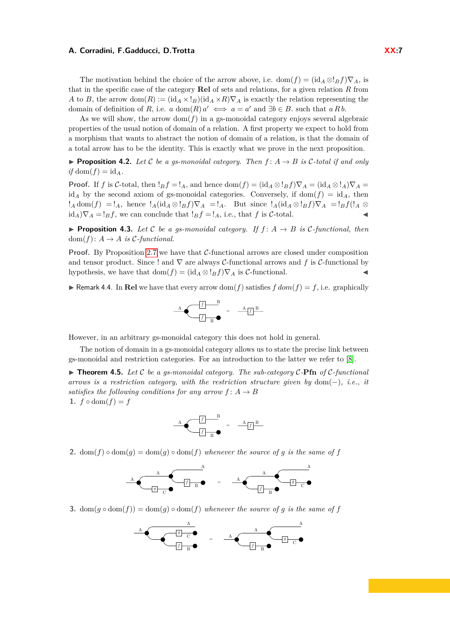The motivation behind the choice of the arrow above, i.e. dom $(f) = (\mathrm{id}_A \otimes I_B f) \nabla_A$ , is that in the specific case of the category **Rel** of sets and relations, for a given relation *R* from *A* to *B*, the arrow dom(*R*) := (id<sub>*A*</sub> × !*B*)(id<sub>*A*</sub> × *R*) $\nabla$ *A* is exactly the relation representing the domain of definition of *R*, i.e. *a* dom(*R*)  $a' \iff a = a'$  and  $\exists b \in B$ . such that *a R b*.

As we will show, the arrow  $dom(f)$  in a gs-monoidal category enjoys several algebraic properties of the usual notion of domain of a relation. A first property we expect to hold from a morphism that wants to abstract the notion of domain of a relation, is that the domain of a total arrow has to be the identity. This is exactly what we prove in the next proposition.

▶ **Proposition 4.2.** Let C be a gs-monoidal category. Then  $f$ :  $A \rightarrow B$  is C-total if and only  $if \text{dom}(f) = id_A$ .

**Proof.** If *f* is C-total, then  $!_B f =!_A$ , and hence dom $(f) = (\text{id}_A \otimes !_B f) \nabla_A = (\text{id}_A \otimes !_A) \nabla_A =$ id<sub>A</sub> by the second axiom of gs-monoidal categories. Conversely, if dom( $f$ ) = id<sub>A</sub>, then  $!_A$  dom $(f) =!_A$ , hence  $!_A(\mathrm{id}_A \otimes !_B f) \nabla_A =!_A$ . But since  $!_A(\mathrm{id}_A \otimes !_B f) \nabla_A =!_B f(!_A \otimes !_B f)$  $id_A$  $\nabla_A = !_B f$ , we can conclude that  $!_B f = !_A$ , i.e., that *f* is *C*-total.

▶ **Proposition 4.3.** *Let* C *be a gs-monoidal category. If*  $f$  :  $A$  →  $B$  *is* C-functional, then  $dom(f): A \rightarrow A$  *is*  $C$ -functional.

**Proof.** By Proposition [2.7](#page-3-1) we have that C-functional arrows are closed under composition and tensor product. Since ! and  $\nabla$  are always C-functional arrows and f is C-functional by hypothesis, we have that  $dom(f) = (id_A \otimes !_B f) \nabla_A$  is C-functional.

<span id="page-6-0"></span>**• Remark 4.4.** In **Rel** we have that every arrow dom(*f*) satisfies  $f$  dom( $f$ ) =  $f$ , i.e. graphically



However, in an arbitrary gs-monoidal category this does not hold in general.

The notion of domain in a gs-monoidal category allows us to state the precise link between gs-monoidal and restriction categories. For an introduction to the latter we refer to [\[8\]](#page-11-1).

▶ **Theorem 4.5.** *Let* C *be a gs-monoidal category. The sub-category* C*-***Pfn** *of* C*-functional arrows is a restriction category, with the restriction structure given by* dom(−)*, i.e., it satisfies the following conditions for any arrow*  $f: A \rightarrow B$ 1.  $f \circ \text{dom}(f) = f$ 



**2.**  $\text{dom}(f) \circ \text{dom}(g) = \text{dom}(g) \circ \text{dom}(f)$  *whenever the source of g is the same of*  $f$ 



**3.**  $\text{dom}(q \circ \text{dom}(f)) = \text{dom}(q) \circ \text{dom}(f)$  *whenever the source of q is the same of f* 

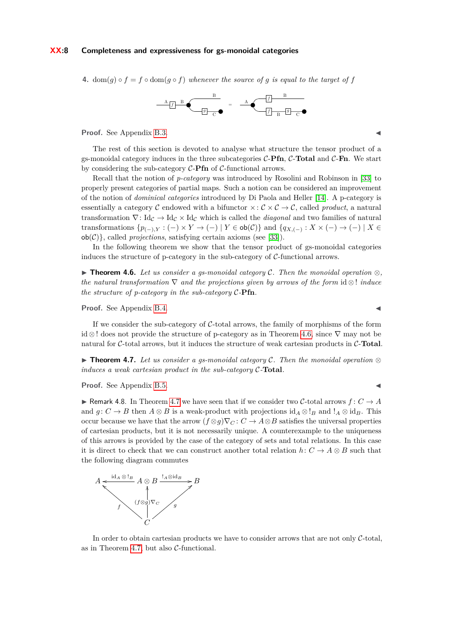### **XX:8 Completeness and expressiveness for gs-monoidal categories**

**4.**  $\text{dom}(q) \circ f = f \circ \text{dom}(q \circ f)$  *whenever the source of q is equal to the target of f* 



**Proof.** See Appendix [B.3.](#page-15-0)

The rest of this section is devoted to analyse what structure the tensor product of a gs-monoidal category induces in the three subcategories C-**Pfn**, C-**Total** and C-**Fn**. We start by considering the sub-category C-**Pfn** of C-functional arrows.

Recall that the notion of *p-category* was introduced by Rosolini and Robinson in [\[33\]](#page-13-1) to properly present categories of partial maps. Such a notion can be considered an improvement of the notion of *dominical categories* introduced by Di Paola and Heller [\[14\]](#page-12-19). A p-category is essentially a category C endowed with a bifunctor  $\times : \mathcal{C} \times \mathcal{C} \to \mathcal{C}$ , called *product*, a natural transformation  $\nabla: Id_{\mathcal{C}} \to Id_{\mathcal{C}} \times Id_{\mathcal{C}}$  which is called the *diagonal* and two families of natural transformations  $\{p_{(-),Y}: (-) \times Y \to (-) \mid Y \in \text{ob}(\mathcal{C})\}$  and  $\{q_{X, (-)}: X \times (-) \to (-) \mid X \in$  $ob(\mathcal{C})$ , called *projections*, satisfying certain axioms (see [\[33\]](#page-13-1)).

In the following theorem we show that the tensor product of gs-monoidal categories induces the structure of p-category in the sub-category of  $C$ -functional arrows.

▶ **Theorem 4.6.** *Let us consider a gs-monoidal category* C*. Then the monoidal operation* ⊗*, the natural transformation* ∇ *and the projections given by arrows of the form* id ⊗ ! *induce the structure of p-category in the sub-category* C*-***Pfn***.*

**Proof.** See Appendix [B.4.](#page-16-0)

If we consider the sub-category of C-total arrows, the family of morphisms of the form id ⊗ ! does not provide the structure of p-category as in Theorem [4.6,](#page-4-0) since ∇ may not be natural for C-total arrows, but it induces the structure of weak cartesian products in C-**Total**.

<span id="page-7-0"></span>▶ **Theorem 4.7.** *Let us consider a gs-monoidal category* C*. Then the monoidal operation* ⊗ *induces a weak cartesian product in the sub-category* C*-***Total***.*

**Proof.** See Appendix [B.5.](#page-16-1)

▶ Remark 4.8. In Theorem [4.7](#page-7-0) we have seen that if we consider two C-total arrows  $f: C \rightarrow A$ and  $g: C \to B$  then  $A \otimes B$  is a weak-product with projections  $id_A \otimes !_B$  and  $!_A \otimes id_B$ . This occur because we have that the arrow  $(f \otimes g)\nabla_C : C \to A \otimes B$  satisfies the universal properties of cartesian products, but it is not necessarily unique. A counterexample to the uniqueness of this arrows is provided by the case of the category of sets and total relations. In this case it is direct to check that we can construct another total relation  $h: C \to A \otimes B$  such that the following diagram commutes



<span id="page-7-1"></span>In order to obtain cartesian products we have to consider arrows that are not only C-total, as in Theorem [4.7,](#page-7-0) but also C-functional.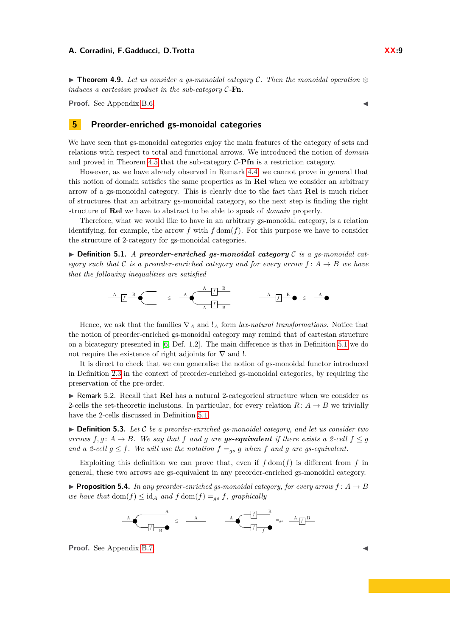▶ **Theorem 4.9.** *Let us consider a gs-monoidal category* C*. Then the monoidal operation* ⊗ *induces a cartesian product in the sub-category* C*-***Fn***.*

**Proof.** See Appendix [B.6.](#page-16-2)

## **5 Preorder-enriched gs-monoidal categories**

We have seen that gs-monoidal categories enjoy the main features of the category of sets and relations with respect to total and functional arrows. We introduced the notion of *domain* and proved in Theorem [4.5](#page-4-3) that the sub-category C-**Pfn** is a restriction category.

However, as we have already observed in Remark [4.4,](#page-6-0) we cannot prove in general that this notion of domain satisfies the same properties as in **Rel** when we consider an arbitrary arrow of a gs-monoidal category. This is clearly due to the fact that **Rel** is much richer of structures that an arbitrary gs-monoidal category, so the next step is finding the right structure of **Rel** we have to abstract to be able to speak of *domain* properly.

Therefore, what we would like to have in an arbitrary gs-monoidal category, is a relation identifying, for example, the arrow  $f$  with  $f$  dom $(f)$ . For this purpose we have to consider the structure of 2-category for gs-monoidal categories.

▶ **Definition 5.1.** *A preorder-enriched gs-monoidal category* C *is a gs-monoidal category such that* C *is a preorder-enriched category and for every arrow*  $f: A \rightarrow B$  *we have that the following inequalities are satisfied*

≤ A *<sup>f</sup>* <sup>A</sup> <sup>B</sup> *<sup>f</sup>* <sup>A</sup> <sup>B</sup> <sup>A</sup> *<sup>f</sup>* <sup>A</sup> <sup>B</sup> *<sup>f</sup>* <sup>A</sup> <sup>B</sup> ≤

Hence, we ask that the families  $\nabla_A$  and  $\mathcal{I}_A$  form *lax-natural transformations*. Notice that the notion of preorder-enriched gs-monoidal category may remind that of cartesian structure on a bicategory presented in [\[6,](#page-11-3) Def. 1.2]. The main difference is that in Definition [5.1](#page-2-1) we do not require the existence of right adjoints for  $\nabla$  and !.

It is direct to check that we can generalise the notion of gs-monoidal functor introduced in Definition [2.3](#page-2-2) in the context of preorder-enriched gs-monoidal categories, by requiring the preservation of the pre-order.

▶ Remark 5.2. Recall that **Rel** has a natural 2-categorical structure when we consider as 2-cells the set-theoretic inclusions. In particular, for every relation  $R: A \rightarrow B$  we trivially have the 2-cells discussed in Definition [5.1.](#page-2-1)

▶ **Definition 5.3.** *Let* C *be a preorder-enriched gs-monoidal category, and let us consider two arrows*  $f, g: A \rightarrow B$ *. We say that*  $f$  *and*  $g$  *are gs-equivalent* if there exists a 2-cell  $f \leq g$ *and a* 2-cell  $g \leq f$ . We will use the notation  $f = g s$  *g* when *f* and *g* are gs-equivalent.

Exploiting this definition we can prove that, even if  $f \text{dom}(f)$  is different from  $f$  in general, these two arrows are gs-equivalent in any preorder-enriched gs-monoidal category.

<span id="page-8-0"></span> $\blacktriangleright$  **Proposition 5.4.** In any preorder-enriched gs-monoidal category, for every arrow  $f: A \rightarrow B$ *we have that*  $dom(f) \leq id_A$  *and*  $f dom(f) = g_s$ , *graphically* 



**Proof.** See Appendix [B.7.](#page-17-0)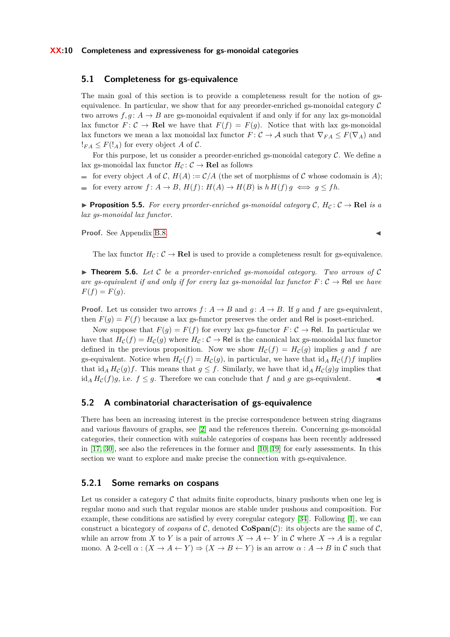## **5.1 Completeness for gs-equivalence**

The main goal of this section is to provide a completeness result for the notion of gsequivalence. In particular, we show that for any preorder-enriched gs-monoidal category  $\mathcal C$ two arrows  $f, g: A \to B$  are gs-monoidal equivalent if and only if for any lax gs-monoidal lax functor  $F: \mathcal{C} \to \mathbf{Rel}$  we have that  $F(f) = F(g)$ . Notice that with lax gs-monoidal lax functors we mean a lax monoidal lax functor  $F: \mathcal{C} \to \mathcal{A}$  such that  $\nabla_{FA} \leq F(\nabla_A)$  and  $!_{FA} \leq F(!_A)$  for every object A of C.

For this purpose, let us consider a preorder-enriched gs-monoidal category  $C$ . We define a lax gs-monoidal lax functor  $H_C: \mathcal{C} \to \mathbf{Rel}$  as follows

for every object A of C,  $H(A) := C/A$  (the set of morphisms of C whose codomain is A); for every arrow  $f: A \to B$ ,  $H(f): H(A) \to H(B)$  is  $h H(f) g \iff g \leq fh$ .  $\equiv$ 

<span id="page-9-0"></span>▶ **Proposition 5.5.** For every preorder-enriched gs-monoidal category  $C$ ,  $H_C$ :  $C \rightarrow \textbf{Rel}$  is a *lax gs-monoidal lax functor.*

**Proof.** See Appendix [B.8.](#page-17-1)

The lax functor  $H_C: \mathcal{C} \to \mathbf{Rel}$  is used to provide a completeness result for gs-equivalence.

▶ **Theorem 5.6.** *Let* C *be a preorder-enriched gs-monoidal category. Two arrows of* C *are gs-equivalent if and only if for every lax gs-monoidal lax functor*  $F: \mathcal{C} \to \mathbb{R}$ el *we have*  $F(f) = F(g).$ 

**Proof.** Let us consider two arrows  $f: A \to B$  and  $g: A \to B$ . If  $g$  and  $f$  are gs-equivalent, then  $F(q) = F(f)$  because a lax gs-functor preserves the order and Rel is poset-enriched.

Now suppose that  $F(g) = F(f)$  for every lax gs-functor  $F: C \to \mathsf{Rel}$ . In particular we have that  $H_{\mathcal{C}}(f) = H_{\mathcal{C}}(g)$  where  $H_{\mathcal{C}}: \mathcal{C} \to \mathsf{Rel}$  is the canonical lax gs-monoidal lax functor defined in the previous proposition. Now we show  $H_c(f) = H_c(g)$  implies g and f are gs-equivalent. Notice when  $H_c(f) = H_c(g)$ , in particular, we have that  $\mathrm{id}_A H_c(f) f$  implies that id<sub>A</sub>  $H_c(g)f$ . This means that  $g \leq f$ . Similarly, we have that id<sub>A</sub>  $H_c(g)g$  implies that id<sub>*A*</sub>  $H_c(f)g$ , i.e.  $f \leq g$ . Therefore we can conclude that *f* and *g* are gs-equivalent.

## **5.2 A combinatorial characterisation of gs-equivalence**

There has been an increasing interest in the precise correspondence between string diagrams and various flavours of graphs, see [\[2\]](#page-11-2) and the references therein. Concerning gs-monoidal categories, their connection with suitable categories of cospans has been recently addressed in [\[17,](#page-12-5) [30\]](#page-12-6), see also the references in the former and [\[10,](#page-12-0) [19\]](#page-12-7) for early assessments. In this section we want to explore and make precise the connection with gs-equivalence.

## **5.2.1 Some remarks on cospans**

Let us consider a category  $\mathcal C$  that admits finite coproducts, binary pushouts when one leg is regular mono and such that regular monos are stable under pushous and composition. For example, these conditions are satisfied by every coregular category [\[34\]](#page-13-4). Following [\[1\]](#page-11-6), we can construct a bicategory of *cospans* of  $C$ , denoted  $\mathbf{C}\mathbf{Span}(\mathcal{C})$ : its objects are the same of  $\mathcal{C}$ , while an arrow from *X* to *Y* is a pair of arrows  $X \to A \leftarrow Y$  in *C* where  $X \to A$  is a regular mono. A 2-cell  $\alpha$  :  $(X \to A \leftarrow Y) \Rightarrow (X \to B \leftarrow Y)$  is an arrow  $\alpha : A \to B$  in C such that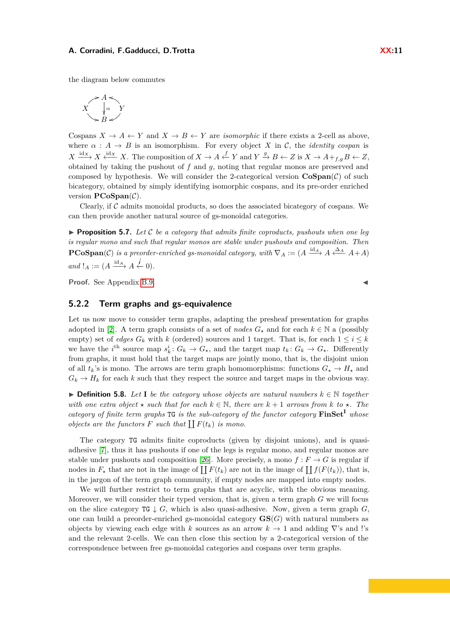the diagram below commutes



Cospans  $X \to A \leftarrow Y$  and  $X \to B \leftarrow Y$  are *isomorphic* if there exists a 2-cell as above, where  $\alpha : A \rightarrow B$  is an isomorphism. For every object *X* in *C*, the *identity cospan* is  $X \xrightarrow{\text{id}_X} X \xleftarrow{\text{id}_X} X$ . The composition of  $X \to A \xleftarrow{f} Y$  and  $Y \xrightarrow{g} B \leftarrow Z$  is  $X \to A +_{f,g} B \leftarrow Z$ , obtained by taking the pushout of *f* and *g*, noting that regular monos are preserved and composed by hypothesis. We will consider the 2-categorical version  $\mathbf{CoSpan}(\mathcal{C})$  of such bicategory, obtained by simply identifying isomorphic cospans, and its pre-order enriched version **PCoSpan**(C).

Clearly, if  $\mathcal C$  admits monoidal products, so does the associated bicategory of cospans. We can then provide another natural source of gs-monoidal categories.

 $\blacktriangleright$  **Proposition 5.7.** Let C be a category that admits finite coproducts, pushouts when one leg *is regular mono and such that regular monos are stable under pushouts and composition. Then*  ${\bf PCoSpan}(\mathcal{C})$  *is a preorder-enriched gs-monoidal category, with*  $\nabla_A := (A \xrightarrow{id_A} A \xleftarrow{\Delta_A} A + A)$  $and$  ! $A := (A \xrightarrow{\text{id}_{A}} A \xleftarrow{\text{i}} 0).$ 

**Proof.** See Appendix [B.9.](#page-17-2)

## **5.2.2 Term graphs and gs-equivalence**

Let us now move to consider term graphs, adapting the presheaf presentation for graphs adopted in [\[2\]](#page-11-2). A term graph consists of a set of *nodes*  $G_{\star}$  and for each  $k \in \mathbb{N}$  a (possibly empty) set of *edges*  $G_k$  with  $k$  (ordered) sources and 1 target. That is, for each  $1 \le i \le k$ we have the *i*<sup>th</sup> source map  $s_k^i$ :  $G_k \to G_*$ , and the target map  $t_k$ :  $G_k \to G_*$ . Differently from graphs, it must hold that the target maps are jointly mono, that is, the disjoint union of all  $t_k$ 's is mono. The arrows are term graph homomorphisms: functions  $G_{\star} \to H_{\star}$  and  $G_k \to H_k$  for each *k* such that they respect the source and target maps in the obvious way.

▶ **Definition 5.8.** Let **I** be the category whose objects are natural numbers  $k \in \mathbb{N}$  together *with one extra object*  $\star$  *such that for each*  $k \in \mathbb{N}$ , *there are*  $k+1$  *arrows from*  $k$  *to*  $\star$ *. The category of finite term graphs* TG *is the sub-category of the functor category* **FinSet<sup>I</sup>** *whose objects are the functors*  $F$  *such that*  $\prod F(t_k)$  *is mono.* 

The category TG admits finite coproducts (given by disjoint unions), and is quasiadhesive [\[7\]](#page-11-7), thus it has pushouts if one of the legs is regular mono, and regular monos are stable under pushouts and composition [\[26\]](#page-12-20). More precisely, a mono  $f: F \to G$  is regular if nodes in  $F_{\star}$  that are not in the image of  $\prod F(t_k)$  are not in the image of  $\prod f(F(t_k))$ , that is, in the jargon of the term graph community, if empty nodes are mapped into empty nodes.

We will further restrict to term graphs that are acyclic, with the obvious meaning. Moreover, we will consider their typed version, that is, given a term graph *G* we will focus on the slice category  $TG \downarrow G$ , which is also quasi-adhesive. Now, given a term graph G, one can build a preorder-enriched gs-monoidal category  $\mathbf{GS}(G)$  with natural numbers as objects by viewing each edge with *k* sources as an arrow  $k \to 1$  and adding  $\nabla$ 's and !'s and the relevant 2-cells. We can then close this section by a 2-categorical version of the correspondence between free gs-monoidal categories and cospans over term graphs.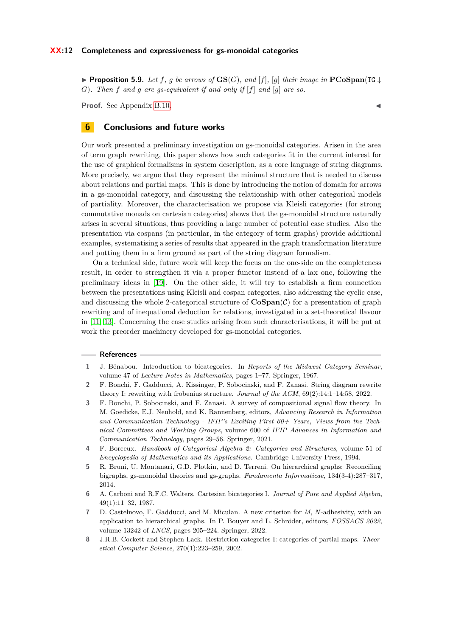### **XX:12 Completeness and expressiveness for gs-monoidal categories**

▶ **Proposition 5.9.** *Let f, g be arrows of* **GS**(*G*)*, and* [*f*]*,* [*g*] *their image in* **PCoSpan**(TG ↓ *G*)*. Then f and g are gs-equivalent if and only if* [*f*] *and* [*g*] *are so.*

**Proof.** See Appendix [B.10.](#page-18-0)

## **6 Conclusions and future works**

Our work presented a preliminary investigation on gs-monoidal categories. Arisen in the area of term graph rewriting, this paper shows how such categories fit in the current interest for the use of graphical formalisms in system description, as a core language of string diagrams. More precisely, we argue that they represent the minimal structure that is needed to discuss about relations and partial maps. This is done by introducing the notion of domain for arrows in a gs-monoidal category, and discussing the relationship with other categorical models of partiality. Moreover, the characterisation we propose via Kleisli categories (for strong commutative monads on cartesian categories) shows that the gs-monoidal structure naturally arises in several situations, thus providing a large number of potential case studies. Also the presentation via cospans (in particular, in the category of term graphs) provide additional examples, systematising a series of results that appeared in the graph transformation literature and putting them in a firm ground as part of the string diagram formalism.

On a technical side, future work will keep the focus on the one-side on the completeness result, in order to strengthen it via a proper functor instead of a lax one, following the preliminary ideas in [\[19\]](#page-12-7). On the other side, it will try to establish a firm connection between the presentations using Kleisli and cospan categories, also addressing the cyclic case, and discussing the whole 2-categorical structure of  $\mathbf{CoSpan}(\mathcal{C})$  for a presentation of graph rewriting and of inequational deduction for relations, investigated in a set-theoretical flavour in [\[11,](#page-12-1) [13\]](#page-12-21). Concerning the case studies arising from such characterisations, it will be put at work the preorder machinery developed for gs-monoidal categories.

### **References**

- <span id="page-11-6"></span>**1** J. Bénabou. Introduction to bicategories. In *Reports of the Midwest Category Seminar*, volume 47 of *Lecture Notes in Mathematics*, pages 1–77. Springer, 1967.
- <span id="page-11-2"></span>**2** F. Bonchi, F. Gadducci, A. Kissinger, P. Sobocinski, and F. Zanasi. String diagram rewrite theory I: rewriting with frobenius structure. *Journal of the ACM*, 69(2):14:1–14:58, 2022.
- <span id="page-11-4"></span>**3** F. Bonchi, P. Sobocinski, and F. Zanasi. A survey of compositional signal flow theory. In M. Goedicke, E.J. Neuhold, and K. Rannenberg, editors, *Advancing Research in Information and Communication Technology - IFIP's Exciting First 60+ Years, Views from the Technical Committees and Working Groups*, volume 600 of *IFIP Advances in Information and Communication Technology*, pages 29–56. Springer, 2021.
- <span id="page-11-5"></span>**4** F. Borceux. *Handbook of Categorical Algebra 2: Categories and Structures*, volume 51 of *Encyclopedia of Mathematics and its Applications*. Cambridge University Press, 1994.
- <span id="page-11-0"></span>**5** R. Bruni, U. Montanari, G.D. Plotkin, and D. Terreni. On hierarchical graphs: Reconciling bigraphs, gs-monoidal theories and gs-graphs. *Fundamenta Informaticae*, 134(3-4):287–317, 2014.
- <span id="page-11-3"></span>**6** A. Carboni and R.F.C. Walters. Cartesian bicategories I. *Journal of Pure and Applied Algebra*, 49(1):11–32, 1987.
- <span id="page-11-7"></span>**7** D. Castelnovo, F. Gadducci, and M. Miculan. A new criterion for *M*, *N*-adhesivity, with an application to hierarchical graphs. In P. Bouyer and L. Schröder, editors, *FOSSACS 2022*, volume 13242 of *LNCS*, pages 205–224. Springer, 2022.
- <span id="page-11-1"></span>**8** J.R.B. Cockett and Stephen Lack. Restriction categories I: categories of partial maps. *Theoretical Computer Science*, 270(1):223–259, 2002.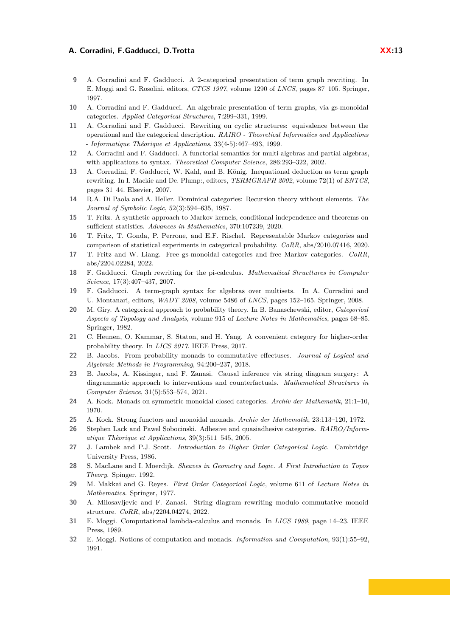- <span id="page-12-9"></span>**9** A. Corradini and F. Gadducci. A 2-categorical presentation of term graph rewriting. In E. Moggi and G. Rosolini, editors, *CTCS 1997*, volume 1290 of *LNCS*, pages 87–105. Springer, 1997.
- <span id="page-12-0"></span>**10** A. Corradini and F. Gadducci. An algebraic presentation of term graphs, via gs-monoidal categories. *Applied Categorical Structures*, 7:299–331, 1999.
- <span id="page-12-1"></span>**11** A. Corradini and F. Gadducci. Rewriting on cyclic structures: equivalence between the operational and the categorical description. *RAIRO - Theoretical Informatics and Applications - Informatique Théorique et Applications*, 33(4-5):467–493, 1999.
- <span id="page-12-2"></span>**12** A. Corradini and F. Gadducci. A functorial semantics for multi-algebras and partial algebras, with applications to syntax. *Theoretical Computer Science*, 286:293–322, 2002.
- <span id="page-12-21"></span>**13** A. Corradini, F. Gadducci, W. Kahl, and B. König. Inequational deduction as term graph rewriting. In I. Mackie and De. Plump:, editors, *TERMGRAPH 2002*, volume 72(1) of *ENTCS*, pages 31–44. Elsevier, 2007.
- <span id="page-12-19"></span>**14** R.A. Di Paola and A. Heller. Dominical categories: Recursion theory without elements. *The Journal of Symbolic Logic*, 52(3):594–635, 1987.
- <span id="page-12-8"></span>**15** T. Fritz. A synthetic approach to Markov kernels, conditional independence and theorems on sufficient statistics. *Advances in Mathematics*, 370:107239, 2020.
- <span id="page-12-10"></span>**16** T. Fritz, T. Gonda, P. Perrone, and E.F. Rischel. Representable Markov categories and comparison of statistical experiments in categorical probability. *CoRR*, abs/2010.07416, 2020.
- <span id="page-12-5"></span>**17** T. Fritz and W. Liang. Free gs-monoidal categories and free Markov categories. *CoRR*, abs/2204.02284, 2022.
- <span id="page-12-3"></span>**18** F. Gadducci. Graph rewriting for the pi-calculus. *Mathematical Structtures in Computer Science*, 17(3):407–437, 2007.
- <span id="page-12-7"></span>**19** F. Gadducci. A term-graph syntax for algebras over multisets. In A. Corradini and U. Montanari, editors, *WADT 2008*, volume 5486 of *LNCS*, pages 152–165. Springer, 2008.
- <span id="page-12-16"></span>**20** M. Giry. A categorical approach to probability theory. In B. Banaschewski, editor, *Categorical Aspects of Topology and Analysis*, volume 915 of *Lecture Notes in Mathematics*, pages 68–85. Springer, 1982.
- <span id="page-12-18"></span>**21** C. Heunen, O. Kammar, S. Staton, and H. Yang. A convenient category for higher-order probability theory. In *LICS 2017*. IEEE Press, 2017.
- <span id="page-12-17"></span>**22** B. Jacobs. From probability monads to commutative effectuses. *Journal of Logical and Algebraic Methods in Programming*, 94:200–237, 2018.
- <span id="page-12-11"></span>**23** B. Jacobs, A. Kissinger, and F. Zanasi. Causal inference via string diagram surgery: A diagrammatic approach to interventions and counterfactuals. *Mathematical Structures in Computer Science*, 31(5):553–574, 2021.
- <span id="page-12-23"></span>**24** A. Kock. Monads on symmetric monoidal closed categories. *Archiv der Mathematik*, 21:1–10, 1970.
- <span id="page-12-22"></span>**25** A. Kock. Strong functors and monoidal monads. *Archiv der Mathematik*, 23:113–120, 1972.
- <span id="page-12-20"></span>**26** Stephen Lack and Pawel Sobocinski. Adhesive and quasiadhesive categories. *RAIRO/Informatique Thèorique et Applications*, 39(3):511–545, 2005.
- <span id="page-12-15"></span>**27** J. Lambek and P.J. Scott. *Introduction to Higher Order Categorical Logic*. Cambridge University Press, 1986.
- <span id="page-12-13"></span>**28** S. MacLane and I. Moerdijk. *Sheaves in Geometry and Logic. A First Introduction to Topos Theory*. Spinger, 1992.
- <span id="page-12-14"></span>**29** M. Makkai and G. Reyes. *First Order Categorical Logic*, volume 611 of *Lecture Notes in Mathematics*. Springer, 1977.
- <span id="page-12-6"></span>**30** A. Milosavljevic and F. Zanasi. String diagram rewriting modulo commutative monoid structure. *CoRR*, abs/2204.04274, 2022.
- <span id="page-12-4"></span>**31** E. Moggi. Computational lambda-calculus and monads. In *LICS 1989*, page 14–23. IEEE Press, 1989.
- <span id="page-12-12"></span>**32** E. Moggi. Notions of computation and monads. *Information and Computation*, 93(1):55–92, 1991.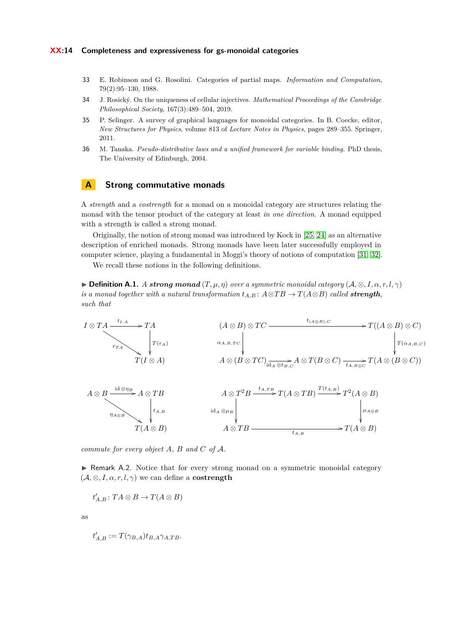- <span id="page-13-1"></span>**33** E. Robinson and G. Rosolini. Categories of partial maps. *Information and Computation*, 79(2):95–130, 1988.
- <span id="page-13-4"></span>**34** J. Rosický. On the uniqueness of cellular injectives. *Mathematical Proceedings of the Cambridge Philosophical Society*, 167(3):489–504, 2019.
- <span id="page-13-0"></span>**35** P. Selinger. A survey of graphical languages for monoidal categories. In B. Coecke, editor, *New Structures for Physics*, volume 813 of *Lecture Notes in Physics*, pages 289–355. Springer, 2011.
- <span id="page-13-2"></span>**36** M. Tanaka. *Pseudo-distributive laws and a unified framework for variable binding*. PhD thesis, The University of Edinburgh, 2004.

## <span id="page-13-3"></span>**A Strong commutative monads**

A *strength* and a *costrength* for a monad on a monoidal category are structures relating the monad with the tensor product of the category at least *in one direction*. A monad equipped with a strength is called a strong monad.

Originally, the notion of strong monad was introduced by Kock in [\[25,](#page-12-22) [24\]](#page-12-23) as an alternative description of enriched monads. Strong monads have been later successfully employed in computer science, playing a fundamental in Moggi's theory of notions of computation [\[31,](#page-12-4) [32\]](#page-12-12).

We recall these notions in the following definitions.

 $\blacktriangleright$  **Definition A.1.** *A strong monad*  $(T, \mu, \eta)$  *over a symmetric monoidal category*  $(A, \otimes, I, \alpha, r, l, \gamma)$ *is a monad together with a natural transformation*  $t_{A,B}: A \otimes TB \rightarrow T(A \otimes B)$  *called strength*, *such that*



*commute for every object A, B and C of* A*.*

▶ Remark A.2. Notice that for every strong monad on a symmetric monoidal category  $(A, \otimes, I, \alpha, r, l, \gamma)$  we can define a **costrength** 

 $t'_{A,B}$ :  $TA \otimes B \to T(A \otimes B)$ 

as

$$
t'_{A,B} := T(\gamma_{B,A})t_{B,A}\gamma_{A,TB}.
$$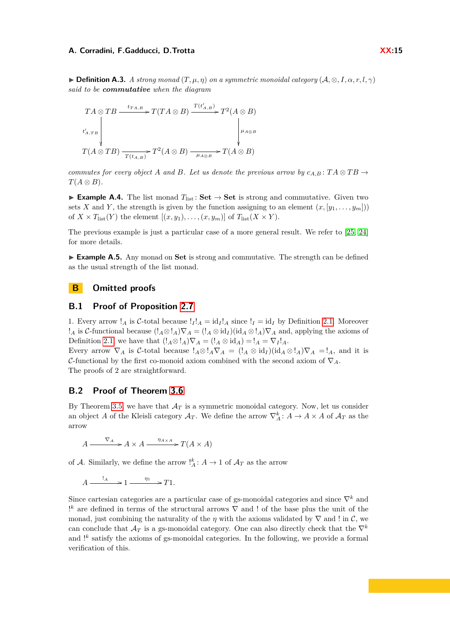$\triangleright$  **Definition A.3.** *A strong monad*  $(T, \mu, \eta)$  *on a symmetric monoidal category*  $(A, \otimes, I, \alpha, r, l, \gamma)$ *said to be commutative when the diagram*

$$
TA \otimes TB \xrightarrow{t_{TA,B}} T(TA \otimes B) \xrightarrow{T(t'_{A,B})} T^2(A \otimes B)
$$
  

$$
t'_{A,TB} \downarrow \qquad \qquad \downarrow \qquad \qquad \downarrow \qquad \qquad \downarrow \qquad \downarrow
$$
  

$$
T(A \otimes TB) \xrightarrow{T(t_{A,B})} T^2(A \otimes B) \xrightarrow{\mu_{A \otimes B}} T(A \otimes B)
$$

*commutes for every object A and B. Let us denote the previous arrow by*  $c_{A,B}$ :  $TA \otimes TB \rightarrow$  $T(A \otimes B)$ .

**► Example A.4.** The list monad  $T_{\text{list}}$ : **Set**  $\rightarrow$  **Set** is strong and commutative. Given two sets *X* and *Y*, the strength is given by the function assigning to an element  $(x, [y_1, \ldots, y_m])$ of  $X \times T_{\text{list}}(Y)$  the element  $[(x, y_1), \ldots, (x, y_m)]$  of  $T_{\text{list}}(X \times Y)$ .

The previous example is just a particular case of a more general result. We refer to [\[25,](#page-12-22) [24\]](#page-12-23) for more details.

▶ **Example A.5.** Any monad on **Set** is strong and commutative. The strength can be defined as the usual strength of the list monad.

## **B Omitted proofs**

## <span id="page-14-0"></span>**B.1 Proof of Proposition [2.7](#page-3-1)**

1. Every arrow !<sub>*A*</sub> is C-total because !<sub>*I*</sub>!<sub>*A*</sub> = id<sub>*I*</sub>!<sub>*A*</sub> since !<sub>*I*</sub> = id<sub>*I*</sub> by Definition [2.1.](#page-2-1) Moreover *<sup>1</sup>A* is *C*-functional because  $(I_A ⊗ I_A) ∇ A = (I_A ⊗ id_I)(id_A ⊗ I_A) ∇ A$  and, applying the axioms of Definition [2.1,](#page-2-1) we have that  $(l_A \otimes l_A)\nabla_A = (l_A \otimes \mathrm{id}_A) = l_A = \nabla_I l_A$ . Every arrow  $\nabla_A$  is C-total because  $!_A \otimes !_A \nabla_A = (!_A \otimes id_I)(id_A \otimes !_A) \nabla_A =!_A$ , and it is C-functional by the first co-monoid axiom combined with the second axiom of  $\nabla_A$ .

The proofs of 2 are straightforward.

## <span id="page-14-1"></span>**B.2 Proof of Theorem [3.6](#page-4-0)**

By Theorem [3.5,](#page-4-3) we have that  $A_T$  is a symmetric monoidal category. Now, let us consider an object *A* of the Kleisli category  $\mathcal{A}_T$ . We define the arrow  $\nabla_A^k: A \to A \times A$  of  $\mathcal{A}_T$  as the arrow

 $A \xrightarrow{\nabla_A} A \times A \xrightarrow{\eta_{A \times A}} T(A \times A)$ 

of A. Similarly, we define the arrow  $\frac{1}{A}$ :  $A \rightarrow 1$  of  $\mathcal{A}_T$  as the arrow

 $A \xrightarrow{?_A} 1 \xrightarrow{\eta_1} T1.$ 

Since cartesian categories are a particular case of gs-monoidal categories and since ∇*<sup>k</sup>* and ! *<sup>k</sup>* are defined in terms of the structural arrows ∇ and ! of the base plus the unit of the monad, just combining the naturality of the *η* with the axioms validated by  $\nabla$  and ! in  $\mathcal{C}$ , we can conclude that  $\mathcal{A}_T$  is a gs-monoidal category. One can also directly check that the  $\nabla^k$ and <sup>*k*</sup> satisfy the axioms of gs-monoidal categories. In the following, we provide a formal verification of this.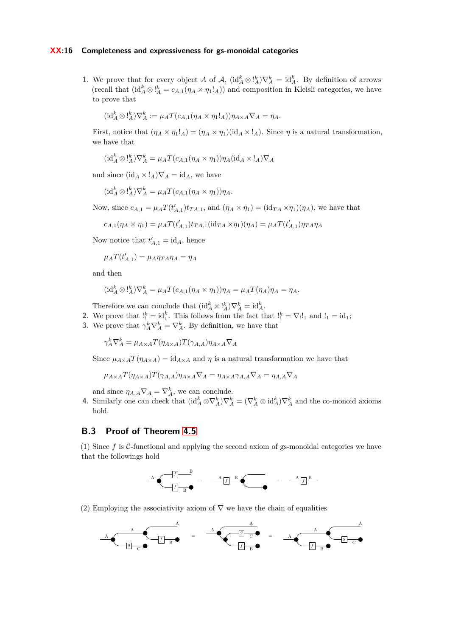### **XX:16 Completeness and expressiveness for gs-monoidal categories**

**1.** We prove that for every object *A* of *A*,  $(id_A^k \otimes \cdot_A^k) \nabla_A^k = id_A^k$ . By definition of arrows (recall that  $(id_A^k \otimes \cdot_A^k = c_{A,1}(\eta_A \times \eta_1 A))$  and composition in Kleisli categories, we have to prove that

$$
(\mathrm{id}_A^k \otimes \mathrm{I}_A^k) \nabla_A^k := \mu_A T(c_{A,1}(\eta_A \times \eta_1 \mathbf{I}_A)) \eta_{A \times A} \nabla_A = \eta_A.
$$

First, notice that  $(\eta_A \times \eta_1)_A = (\eta_A \times \eta_1)(\mathrm{id}_A \times)_A$ . Since  $\eta$  is a natural transformation, we have that

$$
(\mathrm{id}_A^k \otimes \mathrm{I}_A^k) \nabla_A^k = \mu_A T(c_{A,1}(\eta_A \times \eta_1)) \eta_A (\mathrm{id}_A \times \mathrm{I}_A) \nabla_A
$$

and since  $(id_A \times !_A)\nabla_A = id_A$ , we have

$$
(\mathrm{id}_A^k \otimes \mathrm{I}_A^k) \nabla_A^k = \mu_A T(c_{A,1}(\eta_A \times \eta_1)) \eta_A.
$$

Now, since  $c_{A,1} = \mu_A T(t'_{A,1}) t_{TA,1}$ , and  $(\eta_A \times \eta_1) = (\text{id}_{TA} \times \eta_1)(\eta_A)$ , we have that

$$
c_{A,1}(\eta_A \times \eta_1) = \mu_A T(t'_{A,1}) t_{TA,1}(\text{id}_{TA} \times \eta_1)(\eta_A) = \mu_A T(t'_{A,1}) \eta_{TA} \eta_A
$$

Now notice that  $t'_{A,1} = id_A$ , hence

$$
\mu_A T(t'_{A,1}) = \mu_A \eta_{TA} \eta_A = \eta_A
$$

and then

$$
(\mathrm{id}_A^k \otimes \mathrm{!}_A^k) \nabla_A^k = \mu_A T(c_{A,1}(\eta_A \times \eta_1)) \eta_A = \mu_A T(\eta_A) \eta_A = \eta_A.
$$

Therefore we can conclude that  $(\mathrm{id}_A^k \times \cdot_k^k) \nabla_A^k = \mathrm{id}_A^k$ .

2. We prove that  $!_1^k = id_1^k$ . This follows from the fact that  $!_1^k = \nabla_1!_1$  and  $!_1 = id_1;$ 

**3.** We prove that  $\gamma_A^k \nabla_A^k = \nabla_A^k$ . By definition, we have that

 $\gamma_A^k \nabla_A^k = \mu_{A \times A} T(\eta_{A \times A}) T(\gamma_{A, A}) \eta_{A \times A} \nabla_A$ 

Since  $\mu_{A \times A} T(\eta_{A \times A}) = id_{A \times A}$  and  $\eta$  is a natural transformation we have that

$$
\mu_{A \times A} T(\eta_{A \times A}) T(\gamma_{A,A}) \eta_{A \times A} \nabla_A = \eta_{A \times A} \gamma_{A,A} \nabla_A = \eta_{A,A} \nabla_A
$$

and since  $\eta_{A,A} \nabla_A = \nabla_A^k$ , we can conclude.

**4.** Similarly one can check that  $(\mathrm{id}_A^k \otimes \nabla_A^k) \nabla_A^k = (\nabla_A^k \otimes \mathrm{id}_A^k) \nabla_A^k$  and the co-monoid axioms hold.

## <span id="page-15-0"></span>**B.3 Proof of Theorem [4.5](#page-4-3)**

(1) Since  $f$  is  $\mathcal{C}\text{-}$  functional and applying the second axiom of gs-monoidal categories we have that the followings hold

$$
A \underbrace{\sqrt{f} \qquad B}_{\boxed{f} \qquad B} = \underbrace{A \uparrow B}_{\boxed{f} \qquad B} \qquad \qquad = \qquad \underbrace{A \uparrow B}_{\boxed{f} \qquad B}
$$

(2) Employing the associativity axiom of  $\nabla$  we have the chain of equalities

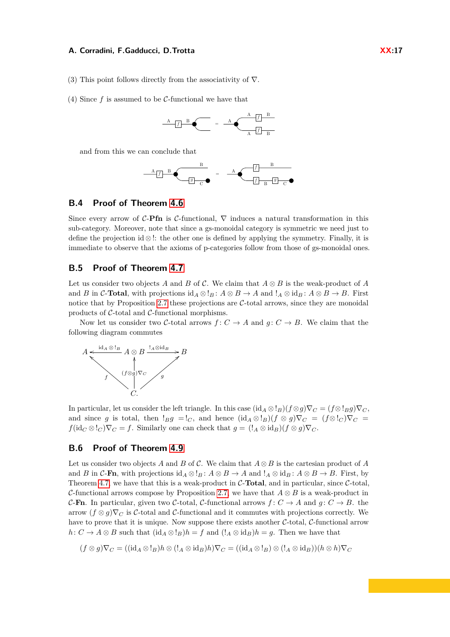- (3) This point follows directly from the associativity of  $\nabla$ .
- (4) Since *f* is assumed to be C-functional we have that



and from this we can conclude that



### <span id="page-16-0"></span>**B.4 Proof of Theorem [4.6](#page-4-0)**

Since every arrow of  $C$ -**Pfn** is  $C$ -functional,  $\nabla$  induces a natural transformation in this sub-category. Moreover, note that since a gs-monoidal category is symmetric we need just to define the projection id  $\otimes$ !: the other one is defined by applying the symmetry. Finally, it is immediate to observe that the axioms of p-categories follow from those of gs-monoidal ones.

## <span id="page-16-1"></span>**B.5 Proof of Theorem [4.7](#page-7-0)**

Let us consider two objects *A* and *B* of C. We claim that *A* ⊗ *B* is the weak-product of *A* and *B* in C-**Total**, with projections  $\text{id}_A \otimes \cdot_B : A \otimes B \to A$  and  $\cdot_A \otimes \text{id}_B : A \otimes B \to B$ . First notice that by Proposition [2.7](#page-3-1) these projections are  $C$ -total arrows, since they are monoidal products of  $C$ -total and  $C$ -functional morphisms.

Now let us consider two C-total arrows  $f: C \to A$  and  $q: C \to B$ . We claim that the following diagram commutes



In particular, let us consider the left triangle. In this case  $(\mathrm{id}_A \otimes \mathrm{!}_B)(f \otimes g)\nabla_C = (f \otimes \mathrm{!}_B g)\nabla_C$ and since *g* is total, then  $!Bg = 1_C$ , and hence  $(id_A \otimes 1_B)(f \otimes g)\nabla_C = (f \otimes 1_C)\nabla_C =$  $f(\mathrm{id}_C \otimes \mathrm{!}_C) \nabla_C = f$ . Similarly one can check that  $g = (\mathrm{!}_A \otimes \mathrm{id}_B)(f \otimes g) \nabla_C$ .

## <span id="page-16-2"></span>**B.6 Proof of Theorem [4.9](#page-7-1)**

Let us consider two objects *A* and *B* of  $\mathcal{C}$ . We claim that  $A \otimes B$  is the cartesian product of *A* and *B* in C-**Fn**, with projections  $id_A \otimes !_B : A \otimes B \to A$  and  $!_A \otimes id_B : A \otimes B \to B$ . First, by Theorem [4.7,](#page-7-0) we have that this is a weak-product in C-**Total**, and in particular, since C-total, C-functional arrows compose by Proposition [2.7,](#page-3-1) we have that *A* ⊗ *B* is a weak-product in C-**Fn**. In particular, given two C-total, C-functional arrows  $f: C \rightarrow A$  and  $g: C \rightarrow B$ . the arrow  $(f \otimes g)\nabla_C$  is C-total and C-functional and it commutes with projections correctly. We have to prove that it is unique. Now suppose there exists another  $C$ -total,  $C$ -functional arrow  $h: C \to A \otimes B$  such that  $(id_A \otimes !_B)h = f$  and  $(l_A \otimes id_B)h = g$ . Then we have that

$$
(f \otimes g)\nabla_C = ((\mathrm{id}_A \otimes !_B)h \otimes (!_A \otimes \mathrm{id}_B)h)\nabla_C = ((\mathrm{id}_A \otimes !_B) \otimes (!_A \otimes \mathrm{id}_B))(h \otimes h)\nabla_C
$$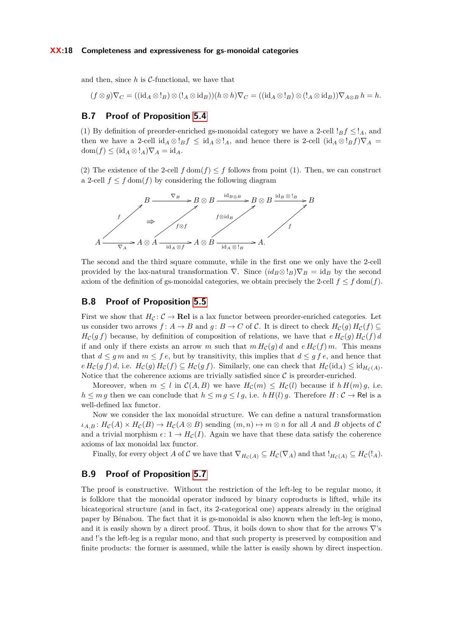and then, since  $h$  is  $C$ -functional, we have that

$$
(f \otimes g)\nabla_C = ((\mathrm{id}_A \otimes \cdot \cdot B) \otimes (\cdot_A \otimes \mathrm{id}_B))(h \otimes h)\nabla_C = ((\mathrm{id}_A \otimes \cdot B) \otimes (\cdot_A \otimes \mathrm{id}_B))\nabla_{A \otimes B} h = h.
$$

## <span id="page-17-0"></span>**B.7 Proof of Proposition [5.4](#page-8-0)**

(1) By definition of preorder-enriched gs-monoidal category we have a 2-cell  $!_B f \leq l_A$ , and then we have a 2-cell id<sub>*A*</sub> ⊗ ! $Bf \leq id$ *A* ⊗ !*A*, and hence there is 2-cell  $(id_A \otimes !_B f) \nabla_A =$  $dom(f) \leq (id_A \otimes !_A)\nabla_A = id_A.$ 

(2) The existence of the 2-cell  $f \text{ dom}(f) \leq f$  follows from point (1). Then, we can construct a 2-cell  $f \leq f$  dom( $f$ ) by considering the following diagram



The second and the third square commute, while in the first one we only have the 2-cell provided by the lax-natural transformation  $\nabla$ . Since  $(id_B \otimes !_B) \nabla_B = id_B$  by the second axiom of the definition of gs-monoidal categories, we obtain precisely the 2-cell  $f \leq f$  dom(*f*).

## <span id="page-17-1"></span>**B.8 Proof of Proposition [5.5](#page-9-0)**

First we show that  $H_C: \mathcal{C} \to \mathbf{Rel}$  is a lax functor between preorder-enriched categories. Let us consider two arrows  $f: A \to B$  and  $g: B \to C$  of C. It is direct to check  $H_c(g) H_c(f) \subseteq$  $H_c(g f)$  because, by definition of composition of relations, we have that  $e H_c(g) H_c(f) d$ if and only if there exists an arrow *m* such that  $m H_c(g) d$  and  $e H_c(f) m$ . This means that  $d \leq gm$  and  $m \leq fe$ , but by transitivity, this implies that  $d \leq gf$ , and hence that  $e H_{\mathcal{C}}(gf) d$ , i.e.  $H_{\mathcal{C}}(g) H_{\mathcal{C}}(f) \subseteq H_{\mathcal{C}}(gf)$ . Similarly, one can check that  $H_{\mathcal{C}}(\mathrm{id}_A) \leq \mathrm{id}_{H_{\mathcal{C}}(A)}$ . Notice that the coherence axioms are trivially satisfied since  $\mathcal C$  is preorder-enriched.

Moreover, when  $m \leq l$  in  $\mathcal{C}(A, B)$  we have  $H_{\mathcal{C}}(m) \leq H_{\mathcal{C}}(l)$  because if  $h H(m) g$ , i.e.  $h \leq mg$  then we can conclude that  $h \leq mg \leq lg$ , i.e.  $h H(l) g$ . Therefore  $H: C \to \text{Rel}$  is a well-defined lax functor.

Now we consider the lax monoidal structure. We can define a natural transformation  $\iota_{A,B}: H_{\mathcal{C}}(A) \times H_{\mathcal{C}}(B) \to H_{\mathcal{C}}(A \otimes B)$  sending  $(m, n) \mapsto m \otimes n$  for all *A* and *B* objects of *C* and a trivial morphism  $\epsilon: 1 \to H_C(I)$ . Again we have that these data satisfy the coherence axioms of lax monoidal lax functor.

Finally, for every object *A* of C we have that  $\nabla_{H_C(A)} \subseteq H_C(\nabla_A)$  and that  $!_{H_C(A)} \subseteq H_C(!_A)$ .

### <span id="page-17-2"></span>**B.9 Proof of Proposition [5.7](#page-3-1)**

The proof is constructive. Without the restriction of the left-leg to be regular mono, it is folklore that the monoidal operator induced by binary coproducts is lifted, while its bicategorical structure (and in fact, its 2-categorical one) appears already in the original paper by Bénabou. The fact that it is gs-monoidal is also known when the left-leg is mono, and it is easily shown by a direct proof. Thus, it boils down to show that for the arrows  $\nabla$ 's and !'s the left-leg is a regular mono, and that such property is preserved by composition and finite products: the former is assumed, while the latter is easily shown by direct inspection.